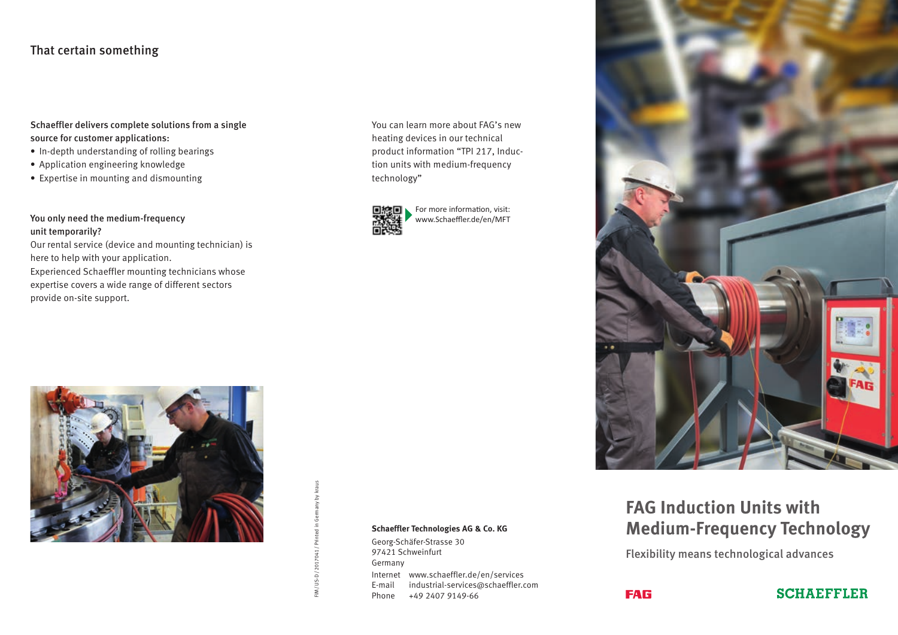# That certain something

#### Schaeffler delivers complete solutions from a single source for customer applications:

- In-depth understanding of rolling bearings
- Application engineering knowledge
- Expertise in mounting and dismounting

### You only need the medium-frequency unit temporarily?

Our rental service (device and mounting technician) is here to help with your application.

Experienced Schaeffler mounting technicians whose expertise covers a wide range of different sectors provide on-site support.

You can learn more about FAG's new heating devices in our technical product information "TPI 217, Induction units with medium-frequency technology"



For more information, visit: www.Schaeffler.de/en/MFT



#### **Schaeffler Technologies AG & Co. KG**

Georg-Schäfer-Strasse 30 97421 Schweinfurt Germany Internet www.schaeffler.de/en/services E-mail industrial-services@schaeffler.com Phone +49 2407 9149-66



# **FAG Induction Units with Medium-Frequency Technology**

Flexibility means technological advances

**FAG**